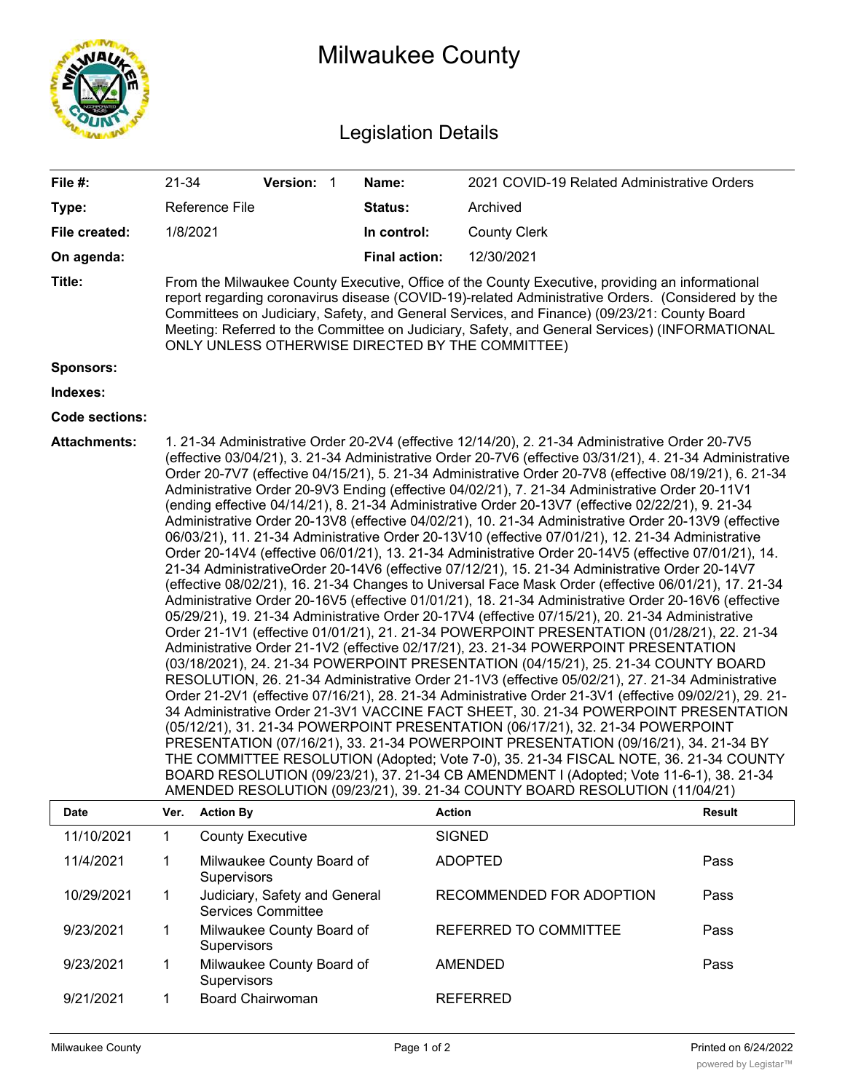

## Milwaukee County

## Legislation Details

| File #:               | 21-34                                                                                                                                                                                                                                                                                                                                                                                                                                                                                                                                                                                                                                                                                                                                                                                                                                                                                                                                                                                                                                                                                                                                                                                                                                                                                                                                                                                                                                                                                                                                                                                                                                                                                                                                                                                                                                                                                                                                                                                                                                                                                                                                                                                                                 |                                                                                                                                                                                                                                                                                                                                                                                                                                                          | Version: 1                                                 |  | Name:                | 2021 COVID-19 Related Administrative Orders |        |  |  |
|-----------------------|-----------------------------------------------------------------------------------------------------------------------------------------------------------------------------------------------------------------------------------------------------------------------------------------------------------------------------------------------------------------------------------------------------------------------------------------------------------------------------------------------------------------------------------------------------------------------------------------------------------------------------------------------------------------------------------------------------------------------------------------------------------------------------------------------------------------------------------------------------------------------------------------------------------------------------------------------------------------------------------------------------------------------------------------------------------------------------------------------------------------------------------------------------------------------------------------------------------------------------------------------------------------------------------------------------------------------------------------------------------------------------------------------------------------------------------------------------------------------------------------------------------------------------------------------------------------------------------------------------------------------------------------------------------------------------------------------------------------------------------------------------------------------------------------------------------------------------------------------------------------------------------------------------------------------------------------------------------------------------------------------------------------------------------------------------------------------------------------------------------------------------------------------------------------------------------------------------------------------|----------------------------------------------------------------------------------------------------------------------------------------------------------------------------------------------------------------------------------------------------------------------------------------------------------------------------------------------------------------------------------------------------------------------------------------------------------|------------------------------------------------------------|--|----------------------|---------------------------------------------|--------|--|--|
| Type:                 |                                                                                                                                                                                                                                                                                                                                                                                                                                                                                                                                                                                                                                                                                                                                                                                                                                                                                                                                                                                                                                                                                                                                                                                                                                                                                                                                                                                                                                                                                                                                                                                                                                                                                                                                                                                                                                                                                                                                                                                                                                                                                                                                                                                                                       | Reference File                                                                                                                                                                                                                                                                                                                                                                                                                                           |                                                            |  | Status:              | Archived                                    |        |  |  |
| File created:         | 1/8/2021                                                                                                                                                                                                                                                                                                                                                                                                                                                                                                                                                                                                                                                                                                                                                                                                                                                                                                                                                                                                                                                                                                                                                                                                                                                                                                                                                                                                                                                                                                                                                                                                                                                                                                                                                                                                                                                                                                                                                                                                                                                                                                                                                                                                              |                                                                                                                                                                                                                                                                                                                                                                                                                                                          |                                                            |  | In control:          | <b>County Clerk</b>                         |        |  |  |
| On agenda:            |                                                                                                                                                                                                                                                                                                                                                                                                                                                                                                                                                                                                                                                                                                                                                                                                                                                                                                                                                                                                                                                                                                                                                                                                                                                                                                                                                                                                                                                                                                                                                                                                                                                                                                                                                                                                                                                                                                                                                                                                                                                                                                                                                                                                                       |                                                                                                                                                                                                                                                                                                                                                                                                                                                          |                                                            |  | <b>Final action:</b> | 12/30/2021                                  |        |  |  |
| Title:                |                                                                                                                                                                                                                                                                                                                                                                                                                                                                                                                                                                                                                                                                                                                                                                                                                                                                                                                                                                                                                                                                                                                                                                                                                                                                                                                                                                                                                                                                                                                                                                                                                                                                                                                                                                                                                                                                                                                                                                                                                                                                                                                                                                                                                       | From the Milwaukee County Executive, Office of the County Executive, providing an informational<br>report regarding coronavirus disease (COVID-19)-related Administrative Orders. (Considered by the<br>Committees on Judiciary, Safety, and General Services, and Finance) (09/23/21: County Board<br>Meeting: Referred to the Committee on Judiciary, Safety, and General Services) (INFORMATIONAL<br>ONLY UNLESS OTHERWISE DIRECTED BY THE COMMITTEE) |                                                            |  |                      |                                             |        |  |  |
| <b>Sponsors:</b>      |                                                                                                                                                                                                                                                                                                                                                                                                                                                                                                                                                                                                                                                                                                                                                                                                                                                                                                                                                                                                                                                                                                                                                                                                                                                                                                                                                                                                                                                                                                                                                                                                                                                                                                                                                                                                                                                                                                                                                                                                                                                                                                                                                                                                                       |                                                                                                                                                                                                                                                                                                                                                                                                                                                          |                                                            |  |                      |                                             |        |  |  |
| Indexes:              |                                                                                                                                                                                                                                                                                                                                                                                                                                                                                                                                                                                                                                                                                                                                                                                                                                                                                                                                                                                                                                                                                                                                                                                                                                                                                                                                                                                                                                                                                                                                                                                                                                                                                                                                                                                                                                                                                                                                                                                                                                                                                                                                                                                                                       |                                                                                                                                                                                                                                                                                                                                                                                                                                                          |                                                            |  |                      |                                             |        |  |  |
| <b>Code sections:</b> |                                                                                                                                                                                                                                                                                                                                                                                                                                                                                                                                                                                                                                                                                                                                                                                                                                                                                                                                                                                                                                                                                                                                                                                                                                                                                                                                                                                                                                                                                                                                                                                                                                                                                                                                                                                                                                                                                                                                                                                                                                                                                                                                                                                                                       |                                                                                                                                                                                                                                                                                                                                                                                                                                                          |                                                            |  |                      |                                             |        |  |  |
| <b>Attachments:</b>   | 1. 21-34 Administrative Order 20-2V4 (effective 12/14/20), 2. 21-34 Administrative Order 20-7V5<br>(effective 03/04/21), 3. 21-34 Administrative Order 20-7V6 (effective 03/31/21), 4. 21-34 Administrative<br>Order 20-7V7 (effective 04/15/21), 5. 21-34 Administrative Order 20-7V8 (effective 08/19/21), 6. 21-34<br>Administrative Order 20-9V3 Ending (effective 04/02/21), 7. 21-34 Administrative Order 20-11V1<br>(ending effective 04/14/21), 8. 21-34 Administrative Order 20-13V7 (effective 02/22/21), 9. 21-34<br>Administrative Order 20-13V8 (effective 04/02/21), 10. 21-34 Administrative Order 20-13V9 (effective<br>06/03/21), 11. 21-34 Administrative Order 20-13V10 (effective 07/01/21), 12. 21-34 Administrative<br>Order 20-14V4 (effective 06/01/21), 13. 21-34 Administrative Order 20-14V5 (effective 07/01/21), 14.<br>21-34 AdministrativeOrder 20-14V6 (effective 07/12/21), 15. 21-34 Administrative Order 20-14V7<br>(effective 08/02/21), 16. 21-34 Changes to Universal Face Mask Order (effective 06/01/21), 17. 21-34<br>Administrative Order 20-16V5 (effective 01/01/21), 18. 21-34 Administrative Order 20-16V6 (effective<br>05/29/21), 19. 21-34 Administrative Order 20-17V4 (effective 07/15/21), 20. 21-34 Administrative<br>Order 21-1V1 (effective 01/01/21), 21. 21-34 POWERPOINT PRESENTATION (01/28/21), 22. 21-34<br>Administrative Order 21-1V2 (effective 02/17/21), 23. 21-34 POWERPOINT PRESENTATION<br>(03/18/2021), 24. 21-34 POWERPOINT PRESENTATION (04/15/21), 25. 21-34 COUNTY BOARD<br>RESOLUTION, 26. 21-34 Administrative Order 21-1V3 (effective 05/02/21), 27. 21-34 Administrative<br>Order 21-2V1 (effective 07/16/21), 28. 21-34 Administrative Order 21-3V1 (effective 09/02/21), 29. 21-<br>34 Administrative Order 21-3V1 VACCINE FACT SHEET, 30. 21-34 POWERPOINT PRESENTATION<br>(05/12/21), 31. 21-34 POWERPOINT PRESENTATION (06/17/21), 32. 21-34 POWERPOINT<br>PRESENTATION (07/16/21), 33. 21-34 POWERPOINT PRESENTATION (09/16/21), 34. 21-34 BY<br>THE COMMITTEE RESOLUTION (Adopted; Vote 7-0), 35. 21-34 FISCAL NOTE, 36. 21-34 COUNTY<br>BOARD RESOLUTION (09/23/21), 37. 21-34 CB AMENDMENT I (Adopted; Vote 11-6-1), 38. 21-34 |                                                                                                                                                                                                                                                                                                                                                                                                                                                          |                                                            |  |                      |                                             |        |  |  |
| Date                  | Ver.                                                                                                                                                                                                                                                                                                                                                                                                                                                                                                                                                                                                                                                                                                                                                                                                                                                                                                                                                                                                                                                                                                                                                                                                                                                                                                                                                                                                                                                                                                                                                                                                                                                                                                                                                                                                                                                                                                                                                                                                                                                                                                                                                                                                                  | <b>Action By</b>                                                                                                                                                                                                                                                                                                                                                                                                                                         |                                                            |  |                      | <b>Action</b>                               | Result |  |  |
| 11/10/2021            | $\mathbf{1}$                                                                                                                                                                                                                                                                                                                                                                                                                                                                                                                                                                                                                                                                                                                                                                                                                                                                                                                                                                                                                                                                                                                                                                                                                                                                                                                                                                                                                                                                                                                                                                                                                                                                                                                                                                                                                                                                                                                                                                                                                                                                                                                                                                                                          | <b>County Executive</b>                                                                                                                                                                                                                                                                                                                                                                                                                                  |                                                            |  |                      | <b>SIGNED</b>                               |        |  |  |
| 11/4/2021             | 1                                                                                                                                                                                                                                                                                                                                                                                                                                                                                                                                                                                                                                                                                                                                                                                                                                                                                                                                                                                                                                                                                                                                                                                                                                                                                                                                                                                                                                                                                                                                                                                                                                                                                                                                                                                                                                                                                                                                                                                                                                                                                                                                                                                                                     | Supervisors                                                                                                                                                                                                                                                                                                                                                                                                                                              | Milwaukee County Board of                                  |  |                      | <b>ADOPTED</b>                              | Pass   |  |  |
| 10/29/2021            | $\mathbf{1}$                                                                                                                                                                                                                                                                                                                                                                                                                                                                                                                                                                                                                                                                                                                                                                                                                                                                                                                                                                                                                                                                                                                                                                                                                                                                                                                                                                                                                                                                                                                                                                                                                                                                                                                                                                                                                                                                                                                                                                                                                                                                                                                                                                                                          |                                                                                                                                                                                                                                                                                                                                                                                                                                                          | Judiciary, Safety and General<br><b>Services Committee</b> |  |                      | RECOMMENDED FOR ADOPTION                    | Pass   |  |  |
| 9/23/2021             | 1                                                                                                                                                                                                                                                                                                                                                                                                                                                                                                                                                                                                                                                                                                                                                                                                                                                                                                                                                                                                                                                                                                                                                                                                                                                                                                                                                                                                                                                                                                                                                                                                                                                                                                                                                                                                                                                                                                                                                                                                                                                                                                                                                                                                                     | Supervisors                                                                                                                                                                                                                                                                                                                                                                                                                                              | Milwaukee County Board of                                  |  |                      | REFERRED TO COMMITTEE                       | Pass   |  |  |
| 9/23/2021             | 1                                                                                                                                                                                                                                                                                                                                                                                                                                                                                                                                                                                                                                                                                                                                                                                                                                                                                                                                                                                                                                                                                                                                                                                                                                                                                                                                                                                                                                                                                                                                                                                                                                                                                                                                                                                                                                                                                                                                                                                                                                                                                                                                                                                                                     | Supervisors                                                                                                                                                                                                                                                                                                                                                                                                                                              | Milwaukee County Board of                                  |  |                      | <b>AMENDED</b>                              | Pass   |  |  |
| 9/21/2021             | 1                                                                                                                                                                                                                                                                                                                                                                                                                                                                                                                                                                                                                                                                                                                                                                                                                                                                                                                                                                                                                                                                                                                                                                                                                                                                                                                                                                                                                                                                                                                                                                                                                                                                                                                                                                                                                                                                                                                                                                                                                                                                                                                                                                                                                     | <b>Board Chairwoman</b>                                                                                                                                                                                                                                                                                                                                                                                                                                  |                                                            |  |                      | <b>REFERRED</b>                             |        |  |  |